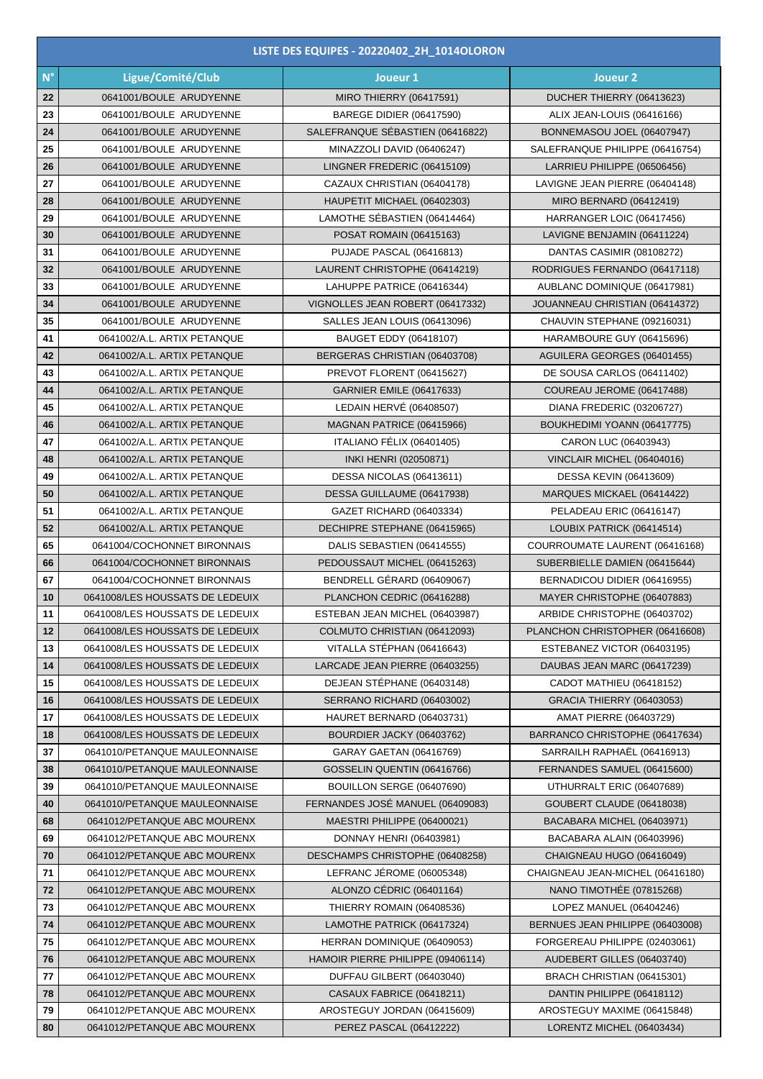| LISTE DES EQUIPES - 20220402_2H_1014OLORON |                                                              |                                                              |                                                               |  |  |
|--------------------------------------------|--------------------------------------------------------------|--------------------------------------------------------------|---------------------------------------------------------------|--|--|
| $N^{\circ}$                                | Ligue/Comité/Club                                            | Joueur 1                                                     | Joueur <sub>2</sub>                                           |  |  |
| 22                                         | 0641001/BOULE ARUDYENNE                                      | <b>MIRO THIERRY (06417591)</b>                               | DUCHER THIERRY (06413623)                                     |  |  |
| 23                                         | 0641001/BOULE ARUDYENNE                                      | <b>BAREGE DIDIER (06417590)</b>                              | ALIX JEAN-LOUIS (06416166)                                    |  |  |
| 24                                         | 0641001/BOULE ARUDYENNE                                      | SALEFRANQUE SEBASTIEN (06416822)                             | BONNEMASOU JOEL (06407947)                                    |  |  |
| 25                                         | 0641001/BOULE ARUDYENNE                                      | MINAZZOLI DAVID (06406247)                                   | SALEFRANQUE PHILIPPE (06416754)                               |  |  |
| 26                                         | 0641001/BOULE ARUDYENNE                                      | LINGNER FREDERIC (06415109)                                  | LARRIEU PHILIPPE (06506456)                                   |  |  |
| 27                                         | 0641001/BOULE ARUDYENNE                                      | CAZAUX CHRISTIAN (06404178)                                  | LAVIGNE JEAN PIERRE (06404148)                                |  |  |
| 28                                         | 0641001/BOULE ARUDYENNE                                      | HAUPETIT MICHAEL (06402303)                                  | MIRO BERNARD (06412419)                                       |  |  |
| 29                                         | 0641001/BOULE ARUDYENNE                                      | LAMOTHE SÉBASTIEN (06414464)                                 | HARRANGER LOIC (06417456)                                     |  |  |
| 30                                         | 0641001/BOULE ARUDYENNE                                      | POSAT ROMAIN (06415163)                                      | LAVIGNE BENJAMIN (06411224)                                   |  |  |
| 31                                         | 0641001/BOULE ARUDYENNE                                      | PUJADE PASCAL (06416813)                                     | DANTAS CASIMIR (08108272)                                     |  |  |
| 32                                         | 0641001/BOULE ARUDYENNE                                      | LAURENT CHRISTOPHE (06414219)                                | RODRIGUES FERNANDO (06417118)                                 |  |  |
| 33                                         | 0641001/BOULE ARUDYENNE                                      | LAHUPPE PATRICE (06416344)                                   | AUBLANC DOMINIQUE (06417981)                                  |  |  |
| 34                                         | 0641001/BOULE ARUDYENNE                                      | VIGNOLLES JEAN ROBERT (06417332)                             | JOUANNEAU CHRISTIAN (06414372)                                |  |  |
| 35                                         | 0641001/BOULE ARUDYENNE                                      | SALLES JEAN LOUIS (06413096)                                 | CHAUVIN STEPHANE (09216031)                                   |  |  |
| 41                                         | 0641002/A.L. ARTIX PETANQUE                                  | BAUGET EDDY (06418107)                                       | HARAMBOURE GUY (06415696)                                     |  |  |
| 42                                         | 0641002/A.L. ARTIX PETANQUE                                  | BERGERAS CHRISTIAN (06403708)                                | AGUILERA GEORGES (06401455)                                   |  |  |
| 43                                         | 0641002/A.L. ARTIX PETANQUE                                  | PREVOT FLORENT (06415627)                                    | DE SOUSA CARLOS (06411402)                                    |  |  |
| 44                                         | 0641002/A.L. ARTIX PETANQUE                                  | <b>GARNIER EMILE (06417633)</b>                              | COUREAU JEROME (06417488)                                     |  |  |
| 45                                         | 0641002/A.L. ARTIX PETANQUE                                  | LEDAIN HERVÉ (06408507)                                      | DIANA FREDERIC (03206727)                                     |  |  |
| 46                                         | 0641002/A.L. ARTIX PETANQUE                                  | MAGNAN PATRICE (06415966)                                    | BOUKHEDIMI YOANN (06417775)                                   |  |  |
| 47                                         | 0641002/A.L. ARTIX PETANQUE                                  | ITALIANO FÉLIX (06401405)                                    | CARON LUC (06403943)                                          |  |  |
| 48                                         | 0641002/A.L. ARTIX PETANQUE                                  | INKI HENRI (02050871)                                        | VINCLAIR MICHEL (06404016)                                    |  |  |
| 49                                         | 0641002/A.L. ARTIX PETANQUE                                  | DESSA NICOLAS (06413611)                                     | <b>DESSA KEVIN (06413609)</b>                                 |  |  |
| 50                                         | 0641002/A.L. ARTIX PETANQUE                                  | DESSA GUILLAUME (06417938)                                   | MARQUES MICKAEL (06414422)                                    |  |  |
| 51                                         | 0641002/A.L. ARTIX PETANQUE                                  | GAZET RICHARD (06403334)                                     | PELADEAU ERIC (06416147)                                      |  |  |
| 52                                         | 0641002/A.L. ARTIX PETANQUE                                  | DECHIPRE STEPHANE (06415965)                                 | LOUBIX PATRICK (06414514)                                     |  |  |
| 65                                         | 0641004/COCHONNET BIRONNAIS                                  | DALIS SEBASTIEN (06414555)                                   | COURROUMATE LAURENT (06416168)                                |  |  |
| 66                                         | 0641004/COCHONNET BIRONNAIS                                  | PEDOUSSAUT MICHEL (06415263)                                 | SUBERBIELLE DAMIEN (06415644)                                 |  |  |
| 67                                         | 0641004/COCHONNET BIRONNAIS                                  | BENDRELL GÉRARD (06409067)                                   | BERNADICOU DIDIER (06416955)                                  |  |  |
| 10                                         | 0641008/LES HOUSSATS DE LEDEUIX                              | PLANCHON CEDRIC (06416288)                                   | MAYER CHRISTOPHE (06407883)                                   |  |  |
| 11                                         | 0641008/LES HOUSSATS DE LEDEUIX                              | ESTEBAN JEAN MICHEL (06403987)                               | ARBIDE CHRISTOPHE (06403702)                                  |  |  |
| 12                                         | 0641008/LES HOUSSATS DE LEDEUIX                              | COLMUTO CHRISTIAN (06412093)                                 | PLANCHON CHRISTOPHER (06416608)                               |  |  |
| 13                                         | 0641008/LES HOUSSATS DE LEDEUIX                              | VITALLA STÉPHAN (06416643)                                   | ESTEBANEZ VICTOR (06403195)                                   |  |  |
| 14                                         | 0641008/LES HOUSSATS DE LEDEUIX                              | LARCADE JEAN PIERRE (06403255)                               | DAUBAS JEAN MARC (06417239)                                   |  |  |
| 15                                         | 0641008/LES HOUSSATS DE LEDEUIX                              | DEJEAN STÉPHANE (06403148)                                   | CADOT MATHIEU (06418152)                                      |  |  |
| 16                                         | 0641008/LES HOUSSATS DE LEDEUIX                              | SERRANO RICHARD (06403002)                                   | <b>GRACIA THIERRY (06403053)</b>                              |  |  |
| 17                                         | 0641008/LES HOUSSATS DE LEDEUIX                              | HAURET BERNARD (06403731)                                    | <b>AMAT PIERRE (06403729)</b>                                 |  |  |
| 18                                         | 0641008/LES HOUSSATS DE LEDEUIX                              | BOURDIER JACKY (06403762)                                    | BARRANCO CHRISTOPHE (06417634)                                |  |  |
| 37                                         | 0641010/PETANQUE MAULEONNAISE                                | GARAY GAETAN (06416769)                                      | SARRAILH RAPHAËL (06416913)                                   |  |  |
| 38                                         | 0641010/PETANQUE MAULEONNAISE                                | GOSSELIN QUENTIN (06416766)                                  | FERNANDES SAMUEL (06415600)                                   |  |  |
| 39                                         | 0641010/PETANQUE MAULEONNAISE                                | BOUILLON SERGE (06407690)                                    | UTHURRALT ERIC (06407689)                                     |  |  |
| 40                                         | 0641010/PETANQUE MAULEONNAISE                                | FERNANDES JOSÉ MANUEL (06409083)                             | GOUBERT CLAUDE (06418038)                                     |  |  |
| 68                                         | 0641012/PETANQUE ABC MOURENX                                 | MAESTRI PHILIPPE (06400021)                                  | BACABARA MICHEL (06403971)                                    |  |  |
| 69                                         | 0641012/PETANQUE ABC MOURENX                                 | DONNAY HENRI (06403981)                                      | BACABARA ALAIN (06403996)                                     |  |  |
| 70<br>71                                   | 0641012/PETANQUE ABC MOURENX<br>0641012/PETANQUE ABC MOURENX | DESCHAMPS CHRISTOPHE (06408258)<br>LEFRANC JÉROME (06005348) | CHAIGNEAU HUGO (06416049)<br>CHAIGNEAU JEAN-MICHEL (06416180) |  |  |
| 72                                         | 0641012/PETANQUE ABC MOURENX                                 | ALONZO CÉDRIC (06401164)                                     | NANO TIMOTHÉE (07815268)                                      |  |  |
| 73                                         | 0641012/PETANQUE ABC MOURENX                                 | THIERRY ROMAIN (06408536)                                    | LOPEZ MANUEL (06404246)                                       |  |  |
| 74                                         | 0641012/PETANQUE ABC MOURENX                                 | LAMOTHE PATRICK (06417324)                                   | BERNUES JEAN PHILIPPE (06403008)                              |  |  |
| 75                                         | 0641012/PETANQUE ABC MOURENX                                 | HERRAN DOMINIQUE (06409053)                                  | FORGEREAU PHILIPPE (02403061)                                 |  |  |
| 76                                         | 0641012/PETANQUE ABC MOURENX                                 | HAMOIR PIERRE PHILIPPE (09406114)                            | AUDEBERT GILLES (06403740)                                    |  |  |
| 77                                         | 0641012/PETANQUE ABC MOURENX                                 | DUFFAU GILBERT (06403040)                                    | BRACH CHRISTIAN (06415301)                                    |  |  |
| 78                                         | 0641012/PETANQUE ABC MOURENX                                 | CASAUX FABRICE (06418211)                                    | DANTIN PHILIPPE (06418112)                                    |  |  |
| 79                                         | 0641012/PETANQUE ABC MOURENX                                 | AROSTEGUY JORDAN (06415609)                                  | AROSTEGUY MAXIME (06415848)                                   |  |  |
| 80                                         | 0641012/PETANQUE ABC MOURENX                                 | PEREZ PASCAL (06412222)                                      | LORENTZ MICHEL (06403434)                                     |  |  |
|                                            |                                                              |                                                              |                                                               |  |  |